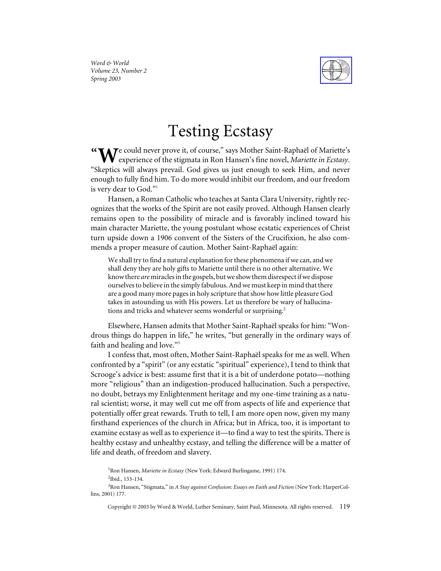

*Word & World Volume 23, Number 2 Spring 2003*

## Testing Ecstasy

e could never prove it, of course," says Mother Saint-Raphaël of Mariette's "We could never prove it, of course," says Mother Saint-Raphaël of Mariette's<br>experience of the stigmata in Ron Hansen's fine novel, *Mariette in Ecstasy*. "Skeptics will always prevail. God gives us just enough to seek Him, and never enough to fully find him. To do more would inhibit our freedom, and our freedom is very dear to God."1

Hansen, a Roman Catholic who teaches at Santa Clara University, rightly recognizes that the works of the Spirit are not easily proved. Although Hansen clearly remains open to the possibility of miracle and is favorably inclined toward his main character Mariette, the young postulant whose ecstatic experiences of Christ turn upside down a 1906 convent of the Sisters of the Crucifixion, he also commends a proper measure of caution. Mother Saint-Raphaël again:

We shall try to find a natural explanation for these phenomena if we can, and we shall deny they are holy gifts to Mariette until there is no other alternative. We know there *are* miracles in the gospels, but we show them disrespect if we dispose ourselves to believe in the simply fabulous. And we must keep in mind that there are a good many more pages in holy scripture that show how little pleasure God takes in astounding us with His powers. Let us therefore be wary of hallucinations and tricks and whatever seems wonderful or surprising.<sup>2</sup>

Elsewhere, Hansen admits that Mother Saint-Raphaël speaks for him: "Wondrous things do happen in life," he writes, "but generally in the ordinary ways of faith and healing and love."<sup>3</sup>

I confess that, most often, Mother Saint-Raphaël speaks for me as well. When confronted by a "spirit" (or any ecstatic "spiritual" experience), I tend to think that Scrooge's advice is best: assume first that it is a bit of underdone potato—nothing more "religious" than an indigestion-produced hallucination. Such a perspective, no doubt, betrays my Enlightenment heritage and my one-time training as a natural scientist; worse, it may well cut me off from aspects of life and experience that potentially offer great rewards. Truth to tell, I am more open now, given my many firsthand experiences of the church in Africa; but in Africa, too, it is important to examine ecstasy as well as to experience it—to find a way to test the spirits. There is healthy ecstasy and unhealthy ecstasy, and telling the difference will be a matter of life and death, of freedom and slavery.

<sup>1</sup> Ron Hansen, *Mariette in Ecstasy* (New York: Edward Burlingame, 1991) 174. 2 Ibid., 133-134.

3 Ron Hansen, "Stigmata," in *A Stay against Confusion: Essays on Faith and Fiction* (New York: HarperCollins, 2001) 177.

Copyright © 2003 by Word & World, Luther Seminary, Saint Paul, Minnesota. All rights reserved. 119